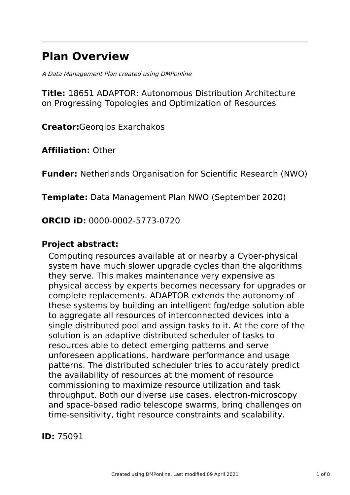# **Plan Overview**

A Data Management Plan created using DMPonline

**Title:** 18651 ADAPTOR: Autonomous Distribution Architecture on Progressing Topologies and Optimization of Resources

**Creator:**Georgios Exarchakos

**Affiliation:** Other

**Funder:** Netherlands Organisation for Scientific Research (NWO)

**Template:** Data Management Plan NWO (September 2020)

**ORCID iD:** 0000-0002-5773-0720

# **Project abstract:**

Computing resources available at or nearby a Cyber-physical system have much slower upgrade cycles than the algorithms they serve. This makes maintenance very expensive as physical access by experts becomes necessary for upgrades or complete replacements. ADAPTOR extends the autonomy of these systems by building an intelligent fog/edge solution able to aggregate all resources of interconnected devices into a single distributed pool and assign tasks to it. At the core of the solution is an adaptive distributed scheduler of tasks to resources able to detect emerging patterns and serve unforeseen applications, hardware performance and usage patterns. The distributed scheduler tries to accurately predict the availability of resources at the moment of resource commissioning to maximize resource utilization and task throughput. Both our diverse use cases, electron-microscopy and space-based radio telescope swarms, bring challenges on time-sensitivity, tight resource constraints and scalability.

**ID:** 75091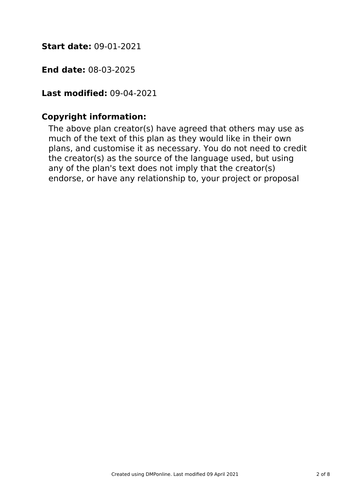**Start date:** 09-01-2021

**End date:** 08-03-2025

**Last modified:** 09-04-2021

# **Copyright information:**

The above plan creator(s) have agreed that others may use as much of the text of this plan as they would like in their own plans, and customise it as necessary. You do not need to credit the creator(s) as the source of the language used, but using any of the plan's text does not imply that the creator(s) endorse, or have any relationship to, your project or proposal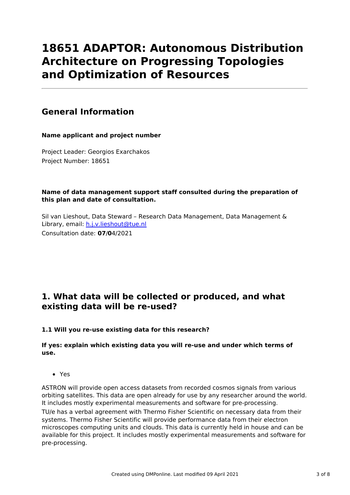# **18651 ADAPTOR: Autonomous Distribution Architecture on Progressing Topologies and Optimization of Resources**

# **General Information**

**Name applicant and project number**

Project Leader: Georgios Exarchakos Project Number: 18651

### **Name of data management support staff consulted during the preparation of this plan and date of consultation.**

Sil van Lieshout, Data Steward – Research Data Management, Data Management & Library, email: [h.j.v.lieshout@tue.nl](mailto:h.j.v.lieshout@tue.nl) Consultation date: **07**/**0**4/2021

# **1. What data will be collected or produced, and what existing data will be re-used?**

### **1.1 Will you re-use existing data for this research?**

### **If yes: explain which existing data you will re-use and under which terms of use.**

Yes

ASTRON will provide open access datasets from recorded cosmos signals from various orbiting satellites. This data are open already for use by any researcher around the world. It includes mostly experimental measurements and software for pre-processing.

TU/e has a verbal agreement with Thermo Fisher Scientific on necessary data from their systems. Thermo Fisher Scientific will provide performance data from their electron microscopes computing units and clouds. This data is currently held in house and can be available for this project. It includes mostly experimental measurements and software for pre-processing.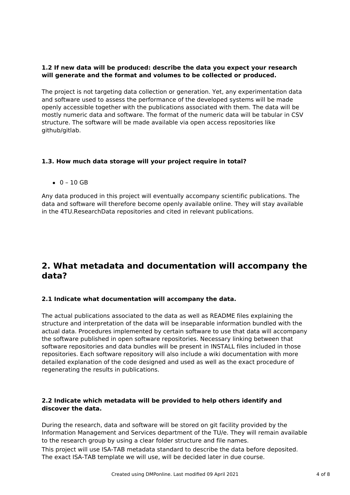### **1.2 If new data will be produced: describe the data you expect your research will generate and the format and volumes to be collected or produced.**

The project is not targeting data collection or generation. Yet, any experimentation data and software used to assess the performance of the developed systems will be made openly accessible together with the publications associated with them. The data will be mostly numeric data and software. The format of the numeric data will be tabular in CSV structure. The software will be made available via open access repositories like github/gitlab.

### **1.3. How much data storage will your project require in total?**

 $0 - 10$  GB

Any data produced in this project will eventually accompany scientific publications. The data and software will therefore become openly available online. They will stay available in the 4TU.ResearchData repositories and cited in relevant publications.

# **2. What metadata and documentation will accompany the data?**

#### **2.1 Indicate what documentation will accompany the data.**

The actual publications associated to the data as well as README files explaining the structure and interpretation of the data will be inseparable information bundled with the actual data. Procedures implemented by certain software to use that data will accompany the software published in open software repositories. Necessary linking between that software repositories and data bundles will be present in INSTALL files included in those repositories. Each software repository will also include a wiki documentation with more detailed explanation of the code designed and used as well as the exact procedure of regenerating the results in publications.

#### **2.2 Indicate which metadata will be provided to help others identify and discover the data.**

During the research, data and software will be stored on git facility provided by the Information Management and Services department of the TU/e. They will remain available to the research group by using a clear folder structure and file names.

This project will use ISA-TAB metadata standard to describe the data before deposited. The exact ISA-TAB template we will use, will be decided later in due course.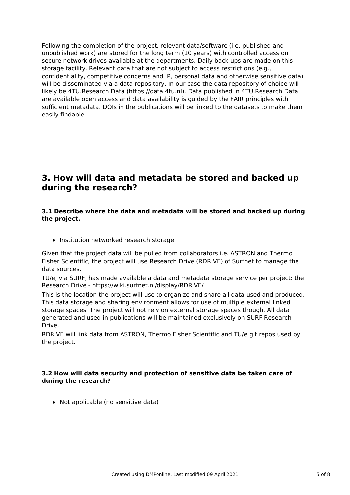Following the completion of the project, relevant data/software (i.e. published and unpublished work) are stored for the long term (10 years) with controlled access on secure network drives available at the departments. Daily back-ups are made on this storage facility. Relevant data that are not subject to access restrictions (e.g., confidentiality, competitive concerns and IP, personal data and otherwise sensitive data) will be disseminated via a data repository. In our case the data repository of choice will likely be 4TU.Research Data (https://data.4tu.nl). Data published in 4TU.Research Data are available open access and data availability is guided by the FAIR principles with sufficient metadata. DOIs in the publications will be linked to the datasets to make them easily findable

# **3. How will data and metadata be stored and backed up during the research?**

#### **3.1 Describe where the data and metadata will be stored and backed up during the project.**

• Institution networked research storage

Given that the project data will be pulled from collaborators i.e. ASTRON and Thermo Fisher Scientific, the project will use Research Drive (RDRIVE) of Surfnet to manage the data sources.

TU/e, via SURF, has made available a data and metadata storage service per project: the Research Drive - https://wiki.surfnet.nl/display/RDRIVE/

This is the location the project will use to organize and share all data used and produced. This data storage and sharing environment allows for use of multiple external linked storage spaces. The project will not rely on external storage spaces though. All data generated and used in publications will be maintained exclusively on SURF Research Drive.

RDRIVE will link data from ASTRON, Thermo Fisher Scientific and TU/e git repos used by the project.

#### **3.2 How will data security and protection of sensitive data be taken care of during the research?**

• Not applicable (no sensitive data)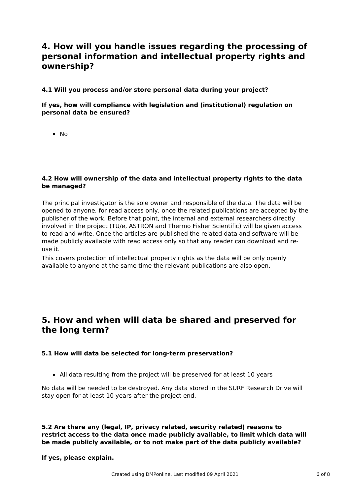# **4. How will you handle issues regarding the processing of personal information and intellectual property rights and ownership?**

#### **4.1 Will you process and/or store personal data during your project?**

### **If yes, how will compliance with legislation and (institutional) regulation on personal data be ensured?**

 $\bullet$  No

#### **4.2 How will ownership of the data and intellectual property rights to the data be managed?**

The principal investigator is the sole owner and responsible of the data. The data will be opened to anyone, for read access only, once the related publications are accepted by the publisher of the work. Before that point, the internal and external researchers directly involved in the project (TU/e, ASTRON and Thermo Fisher Scientific) will be given access to read and write. Once the articles are published the related data and software will be made publicly available with read access only so that any reader can download and reuse it.

This covers protection of intellectual property rights as the data will be only openly available to anyone at the same time the relevant publications are also open.

### **5. How and when will data be shared and preserved for the long term?**

#### **5.1 How will data be selected for long-term preservation?**

All data resulting from the project will be preserved for at least 10 years

No data will be needed to be destroyed. Any data stored in the SURF Research Drive will stay open for at least 10 years after the project end.

**5.2 Are there any (legal, IP, privacy related, security related) reasons to restrict access to the data once made publicly available, to limit which data will be made publicly available, or to not make part of the data publicly available?**

#### **If yes, please explain.**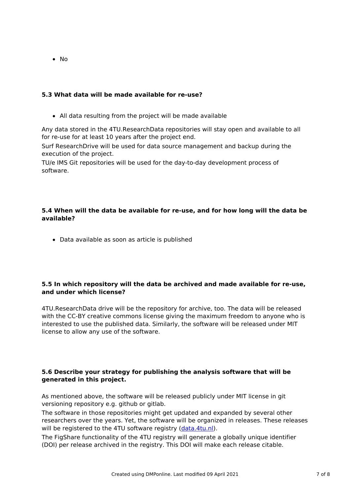• No

### **5.3 What data will be made available for re-use?**

All data resulting from the project will be made available

Any data stored in the 4TU.ResearchData repositories will stay open and available to all for re-use for at least 10 years after the project end.

Surf ResearchDrive will be used for data source management and backup during the execution of the project.

TU/e IMS Git repositories will be used for the day-to-day development process of software.

### **5.4 When will the data be available for re-use, and for how long will the data be available?**

Data available as soon as article is published

#### **5.5 In which repository will the data be archived and made available for re-use, and under which license?**

4TU.ResearchData drive will be the repository for archive, too. The data will be released with the CC-BY creative commons license giving the maximum freedom to anyone who is interested to use the published data. Similarly, the software will be released under MIT license to allow any use of the software.

### **5.6 Describe your strategy for publishing the analysis software that will be generated in this project.**

As mentioned above, the software will be released publicly under MIT license in git versioning repository e.g. github or gitlab.

The software in those repositories might get updated and expanded by several other researchers over the years. Yet, the software will be organized in releases. These releases will be registered to the 4TU software registry [\(data.4tu.nl](https://data.4tu.nl/)).

The FigShare functionality of the 4TU registry will generate a globally unique identifier (DOI) per release archived in the registry. This DOI will make each release citable.